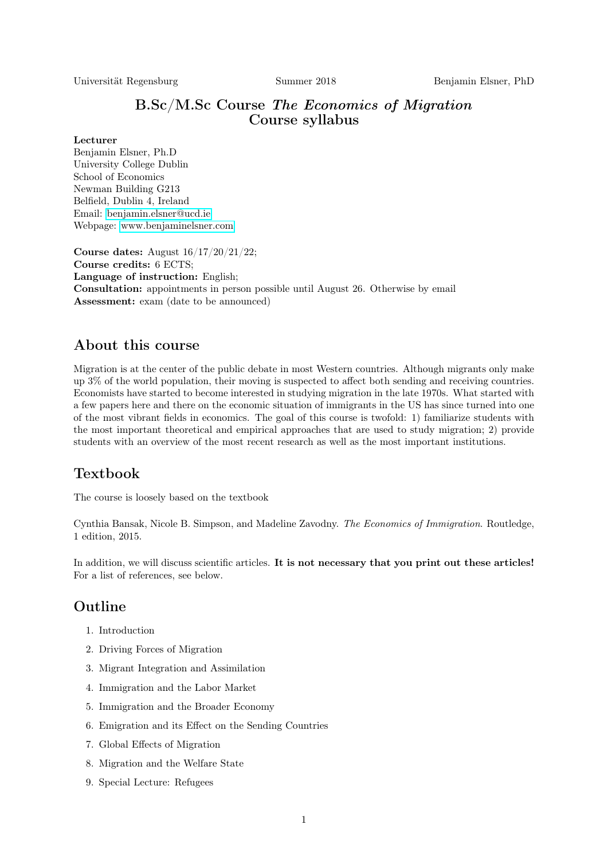Universität Regensburg Summer 2018 Benjamin Elsner, PhD

## B.Sc/M.Sc Course The Economics of Migration Course syllabus

#### Lecturer

Benjamin Elsner, Ph.D University College Dublin School of Economics Newman Building G213 Belfield, Dublin 4, Ireland Email: [benjamin.elsner@ucd.ie](mailto:benjamin.elsner@ucd.ie) Webpage: [www.benjaminelsner.com](http://www.benjaminelsner.com)

Course dates: August 16/17/20/21/22; Course credits: 6 ECTS; Language of instruction: English; Consultation: appointments in person possible until August 26. Otherwise by email Assessment: exam (date to be announced)

## About this course

Migration is at the center of the public debate in most Western countries. Although migrants only make up 3% of the world population, their moving is suspected to affect both sending and receiving countries. Economists have started to become interested in studying migration in the late 1970s. What started with a few papers here and there on the economic situation of immigrants in the US has since turned into one of the most vibrant fields in economics. The goal of this course is twofold: 1) familiarize students with the most important theoretical and empirical approaches that are used to study migration; 2) provide students with an overview of the most recent research as well as the most important institutions.

## Textbook

The course is loosely based on the textbook

Cynthia Bansak, Nicole B. Simpson, and Madeline Zavodny. The Economics of Immigration. Routledge, 1 edition, 2015.

In addition, we will discuss scientific articles. It is not necessary that you print out these articles! For a list of references, see below.

# Outline

- 1. Introduction
- 2. Driving Forces of Migration
- 3. Migrant Integration and Assimilation
- 4. Immigration and the Labor Market
- 5. Immigration and the Broader Economy
- 6. Emigration and its Effect on the Sending Countries
- 7. Global Effects of Migration
- 8. Migration and the Welfare State
- 9. Special Lecture: Refugees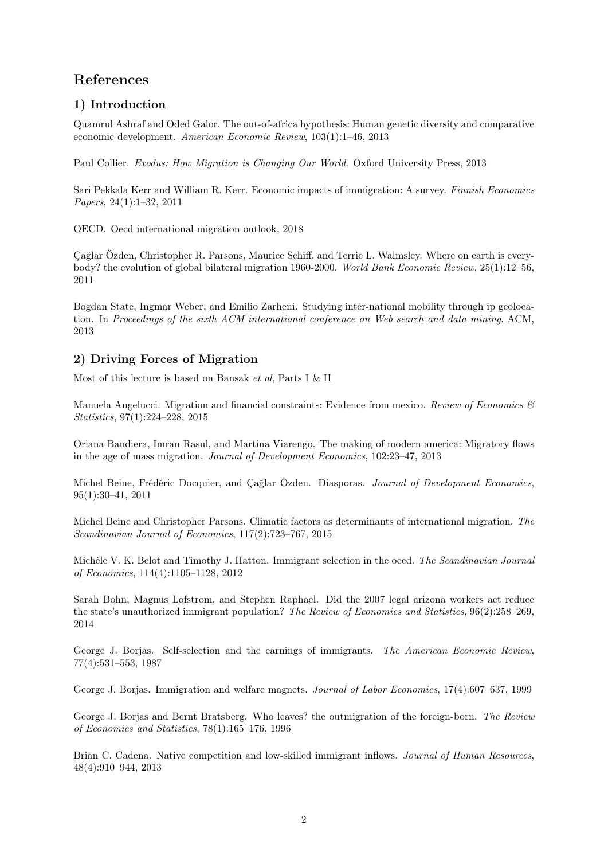# References

## 1) Introduction

Quamrul Ashraf and Oded Galor. The out-of-africa hypothesis: Human genetic diversity and comparative economic development. American Economic Review, 103(1):1–46, 2013

Paul Collier. Exodus: How Migration is Changing Our World. Oxford University Press, 2013

Sari Pekkala Kerr and William R. Kerr. Economic impacts of immigration: A survey. Finnish Economics Papers, 24(1):1–32, 2011

OECD. Oecd international migration outlook, 2018

Çağlar Özden, Christopher R. Parsons, Maurice Schiff, and Terrie L. Walmsley. Where on earth is everybody? the evolution of global bilateral migration 1960-2000. World Bank Economic Review, 25(1):12–56, 2011

Bogdan State, Ingmar Weber, and Emilio Zarheni. Studying inter-national mobility through ip geolocation. In Proceedings of the sixth ACM international conference on Web search and data mining. ACM, 2013

## 2) Driving Forces of Migration

Most of this lecture is based on Bansak et al, Parts I & II

Manuela Angelucci. Migration and financial constraints: Evidence from mexico. Review of Economics  $\mathcal{B}$ Statistics, 97(1):224–228, 2015

Oriana Bandiera, Imran Rasul, and Martina Viarengo. The making of modern america: Migratory flows in the age of mass migration. Journal of Development Economics, 102:23–47, 2013

Michel Beine, Frédéric Docquier, and Cağlar Özden. Diasporas. Journal of Development Economics, 95(1):30–41, 2011

Michel Beine and Christopher Parsons. Climatic factors as determinants of international migration. The Scandinavian Journal of Economics, 117(2):723–767, 2015

Michèle V. K. Belot and Timothy J. Hatton. Immigrant selection in the oecd. The Scandinavian Journal of Economics, 114(4):1105–1128, 2012

Sarah Bohn, Magnus Lofstrom, and Stephen Raphael. Did the 2007 legal arizona workers act reduce the state's unauthorized immigrant population? The Review of Economics and Statistics, 96(2):258–269, 2014

George J. Borjas. Self-selection and the earnings of immigrants. The American Economic Review, 77(4):531–553, 1987

George J. Borjas. Immigration and welfare magnets. Journal of Labor Economics, 17(4):607–637, 1999

George J. Borjas and Bernt Bratsberg. Who leaves? the outmigration of the foreign-born. The Review of Economics and Statistics, 78(1):165–176, 1996

Brian C. Cadena. Native competition and low-skilled immigrant inflows. Journal of Human Resources, 48(4):910–944, 2013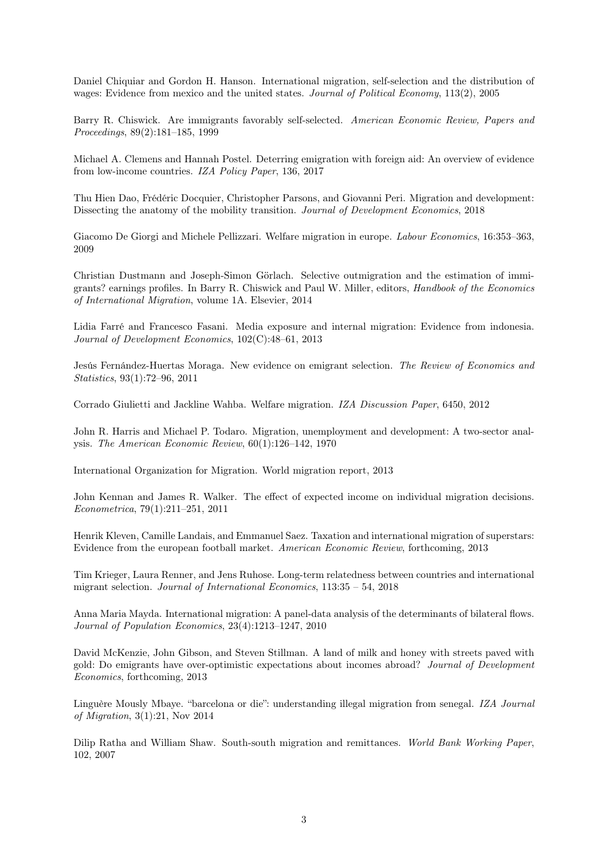Daniel Chiquiar and Gordon H. Hanson. International migration, self-selection and the distribution of wages: Evidence from mexico and the united states. Journal of Political Economy, 113(2), 2005

Barry R. Chiswick. Are immigrants favorably self-selected. American Economic Review, Papers and Proceedings, 89(2):181–185, 1999

Michael A. Clemens and Hannah Postel. Deterring emigration with foreign aid: An overview of evidence from low-income countries. IZA Policy Paper, 136, 2017

Thu Hien Dao, Frédéric Docquier, Christopher Parsons, and Giovanni Peri. Migration and development: Dissecting the anatomy of the mobility transition. Journal of Development Economics, 2018

Giacomo De Giorgi and Michele Pellizzari. Welfare migration in europe. Labour Economics, 16:353–363, 2009

Christian Dustmann and Joseph-Simon Görlach. Selective outmigration and the estimation of immigrants? earnings profiles. In Barry R. Chiswick and Paul W. Miller, editors, Handbook of the Economics of International Migration, volume 1A. Elsevier, 2014

Lidia Farré and Francesco Fasani. Media exposure and internal migration: Evidence from indonesia. Journal of Development Economics, 102(C):48–61, 2013

Jesús Fernández-Huertas Moraga. New evidence on emigrant selection. The Review of Economics and Statistics, 93(1):72–96, 2011

Corrado Giulietti and Jackline Wahba. Welfare migration. IZA Discussion Paper, 6450, 2012

John R. Harris and Michael P. Todaro. Migration, unemployment and development: A two-sector analysis. The American Economic Review, 60(1):126–142, 1970

International Organization for Migration. World migration report, 2013

John Kennan and James R. Walker. The effect of expected income on individual migration decisions. Econometrica, 79(1):211–251, 2011

Henrik Kleven, Camille Landais, and Emmanuel Saez. Taxation and international migration of superstars: Evidence from the european football market. American Economic Review, forthcoming, 2013

Tim Krieger, Laura Renner, and Jens Ruhose. Long-term relatedness between countries and international migrant selection. Journal of International Economics, 113:35 – 54, 2018

Anna Maria Mayda. International migration: A panel-data analysis of the determinants of bilateral flows. Journal of Population Economics, 23(4):1213–1247, 2010

David McKenzie, John Gibson, and Steven Stillman. A land of milk and honey with streets paved with gold: Do emigrants have over-optimistic expectations about incomes abroad? Journal of Development Economics, forthcoming, 2013

Linguère Mously Mbaye. "barcelona or die": understanding illegal migration from senegal. IZA Journal of Migration, 3(1):21, Nov 2014

Dilip Ratha and William Shaw. South-south migration and remittances. World Bank Working Paper, 102, 2007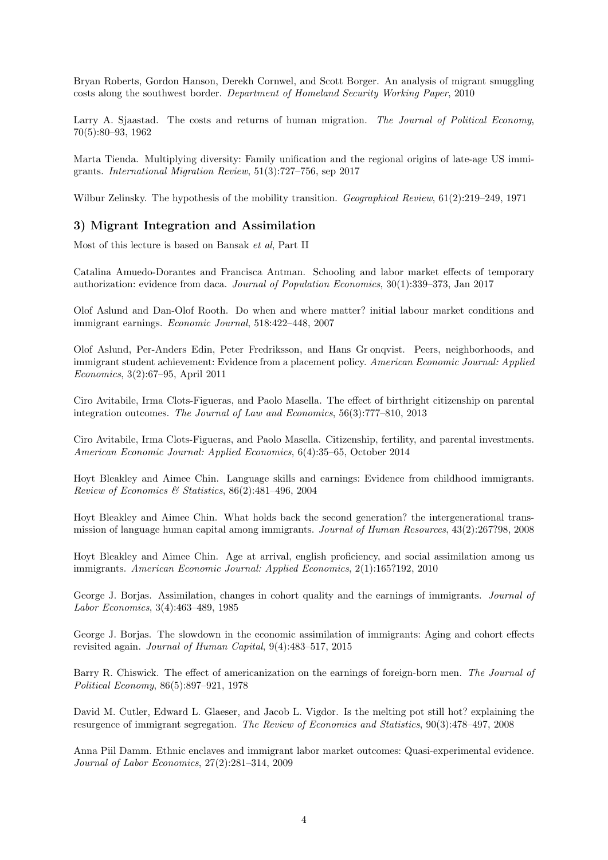Bryan Roberts, Gordon Hanson, Derekh Cornwel, and Scott Borger. An analysis of migrant smuggling costs along the southwest border. Department of Homeland Security Working Paper, 2010

Larry A. Siaastad. The costs and returns of human migration. The Journal of Political Economy, 70(5):80–93, 1962

Marta Tienda. Multiplying diversity: Family unification and the regional origins of late-age US immigrants. International Migration Review, 51(3):727–756, sep 2017

Wilbur Zelinsky. The hypothesis of the mobility transition. Geographical Review, 61(2):219–249, 1971

### 3) Migrant Integration and Assimilation

Most of this lecture is based on Bansak et al, Part II

Catalina Amuedo-Dorantes and Francisca Antman. Schooling and labor market effects of temporary authorization: evidence from daca. Journal of Population Economics, 30(1):339–373, Jan 2017

Olof Aslund and Dan-Olof Rooth. Do when and where matter? initial labour market conditions and immigrant earnings. Economic Journal, 518:422–448, 2007

Olof Aslund, Per-Anders Edin, Peter Fredriksson, and Hans Gr onqvist. Peers, neighborhoods, and immigrant student achievement: Evidence from a placement policy. American Economic Journal: Applied Economics, 3(2):67–95, April 2011

Ciro Avitabile, Irma Clots-Figueras, and Paolo Masella. The effect of birthright citizenship on parental integration outcomes. The Journal of Law and Economics, 56(3):777–810, 2013

Ciro Avitabile, Irma Clots-Figueras, and Paolo Masella. Citizenship, fertility, and parental investments. American Economic Journal: Applied Economics, 6(4):35–65, October 2014

Hoyt Bleakley and Aimee Chin. Language skills and earnings: Evidence from childhood immigrants. Review of Economics & Statistics, 86(2):481–496, 2004

Hoyt Bleakley and Aimee Chin. What holds back the second generation? the intergenerational transmission of language human capital among immigrants. Journal of Human Resources, 43(2):267?98, 2008

Hoyt Bleakley and Aimee Chin. Age at arrival, english proficiency, and social assimilation among us immigrants. American Economic Journal: Applied Economics, 2(1):165?192, 2010

George J. Borjas. Assimilation, changes in cohort quality and the earnings of immigrants. Journal of Labor Economics, 3(4):463–489, 1985

George J. Borjas. The slowdown in the economic assimilation of immigrants: Aging and cohort effects revisited again. Journal of Human Capital, 9(4):483–517, 2015

Barry R. Chiswick. The effect of americanization on the earnings of foreign-born men. The Journal of Political Economy, 86(5):897–921, 1978

David M. Cutler, Edward L. Glaeser, and Jacob L. Vigdor. Is the melting pot still hot? explaining the resurgence of immigrant segregation. The Review of Economics and Statistics, 90(3):478–497, 2008

Anna Piil Damm. Ethnic enclaves and immigrant labor market outcomes: Quasi-experimental evidence. Journal of Labor Economics, 27(2):281–314, 2009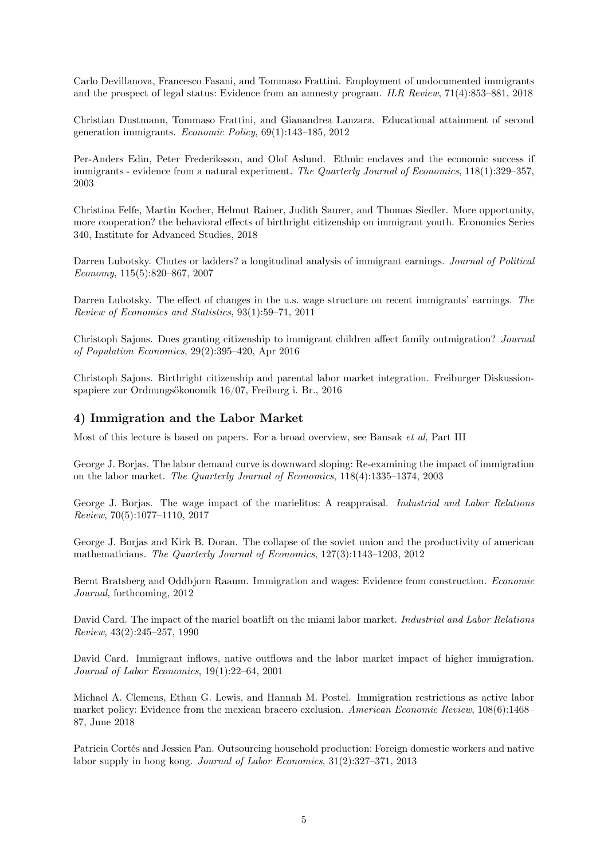Carlo Devillanova, Francesco Fasani, and Tommaso Frattini. Employment of undocumented immigrants and the prospect of legal status: Evidence from an amnesty program. ILR Review, 71(4):853–881, 2018

Christian Dustmann, Tommaso Frattini, and Gianandrea Lanzara. Educational attainment of second generation immigrants. Economic Policy, 69(1):143–185, 2012

Per-Anders Edin, Peter Frederiksson, and Olof Aslund. Ethnic enclaves and the economic success if immigrants - evidence from a natural experiment. The Quarterly Journal of Economics, 118(1):329–357, 2003

Christina Felfe, Martin Kocher, Helmut Rainer, Judith Saurer, and Thomas Siedler. More opportunity, more cooperation? the behavioral effects of birthright citizenship on immigrant youth. Economics Series 340, Institute for Advanced Studies, 2018

Darren Lubotsky. Chutes or ladders? a longitudinal analysis of immigrant earnings. Journal of Political Economy, 115(5):820–867, 2007

Darren Lubotsky. The effect of changes in the u.s. wage structure on recent immigrants' earnings. The Review of Economics and Statistics, 93(1):59–71, 2011

Christoph Sajons. Does granting citizenship to immigrant children affect family outmigration? Journal of Population Economics, 29(2):395–420, Apr 2016

Christoph Sajons. Birthright citizenship and parental labor market integration. Freiburger Diskussionspapiere zur Ordnungsökonomik 16/07, Freiburg i. Br., 2016

### 4) Immigration and the Labor Market

Most of this lecture is based on papers. For a broad overview, see Bansak et al, Part III

George J. Borjas. The labor demand curve is downward sloping: Re-examining the impact of immigration on the labor market. The Quarterly Journal of Economics, 118(4):1335–1374, 2003

George J. Borjas. The wage impact of the marielitos: A reappraisal. Industrial and Labor Relations Review, 70(5):1077–1110, 2017

George J. Borjas and Kirk B. Doran. The collapse of the soviet union and the productivity of american mathematicians. The Quarterly Journal of Economics, 127(3):1143–1203, 2012

Bernt Bratsberg and Oddbjorn Raaum. Immigration and wages: Evidence from construction. Economic Journal, forthcoming, 2012

David Card. The impact of the mariel boatlift on the miami labor market. Industrial and Labor Relations Review, 43(2):245–257, 1990

David Card. Immigrant inflows, native outflows and the labor market impact of higher immigration. Journal of Labor Economics, 19(1):22–64, 2001

Michael A. Clemens, Ethan G. Lewis, and Hannah M. Postel. Immigration restrictions as active labor market policy: Evidence from the mexican bracero exclusion. American Economic Review, 108(6):1468– 87, June 2018

Patricia Cortés and Jessica Pan. Outsourcing household production: Foreign domestic workers and native labor supply in hong kong. Journal of Labor Economics, 31(2):327–371, 2013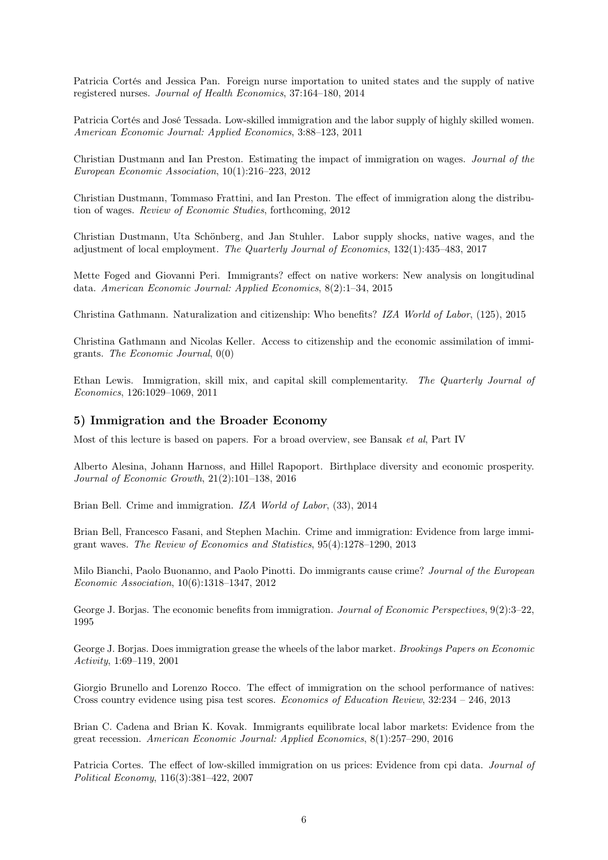Patricia Cortés and Jessica Pan. Foreign nurse importation to united states and the supply of native registered nurses. Journal of Health Economics, 37:164–180, 2014

Patricia Cortés and José Tessada. Low-skilled immigration and the labor supply of highly skilled women. American Economic Journal: Applied Economics, 3:88–123, 2011

Christian Dustmann and Ian Preston. Estimating the impact of immigration on wages. Journal of the European Economic Association, 10(1):216–223, 2012

Christian Dustmann, Tommaso Frattini, and Ian Preston. The effect of immigration along the distribution of wages. Review of Economic Studies, forthcoming, 2012

Christian Dustmann, Uta Schönberg, and Jan Stuhler. Labor supply shocks, native wages, and the adjustment of local employment. The Quarterly Journal of Economics, 132(1):435–483, 2017

Mette Foged and Giovanni Peri. Immigrants? effect on native workers: New analysis on longitudinal data. American Economic Journal: Applied Economics, 8(2):1–34, 2015

Christina Gathmann. Naturalization and citizenship: Who benefits? IZA World of Labor, (125), 2015

Christina Gathmann and Nicolas Keller. Access to citizenship and the economic assimilation of immigrants. The Economic Journal, 0(0)

Ethan Lewis. Immigration, skill mix, and capital skill complementarity. The Quarterly Journal of Economics, 126:1029–1069, 2011

#### 5) Immigration and the Broader Economy

Most of this lecture is based on papers. For a broad overview, see Bansak et al, Part IV

Alberto Alesina, Johann Harnoss, and Hillel Rapoport. Birthplace diversity and economic prosperity. Journal of Economic Growth, 21(2):101–138, 2016

Brian Bell. Crime and immigration. IZA World of Labor, (33), 2014

Brian Bell, Francesco Fasani, and Stephen Machin. Crime and immigration: Evidence from large immigrant waves. The Review of Economics and Statistics, 95(4):1278–1290, 2013

Milo Bianchi, Paolo Buonanno, and Paolo Pinotti. Do immigrants cause crime? Journal of the European Economic Association, 10(6):1318–1347, 2012

George J. Borjas. The economic benefits from immigration. Journal of Economic Perspectives, 9(2):3–22, 1995

George J. Borjas. Does immigration grease the wheels of the labor market. Brookings Papers on Economic Activity, 1:69–119, 2001

Giorgio Brunello and Lorenzo Rocco. The effect of immigration on the school performance of natives: Cross country evidence using pisa test scores. Economics of Education Review, 32:234 – 246, 2013

Brian C. Cadena and Brian K. Kovak. Immigrants equilibrate local labor markets: Evidence from the great recession. American Economic Journal: Applied Economics, 8(1):257–290, 2016

Patricia Cortes. The effect of low-skilled immigration on us prices: Evidence from cpi data. Journal of Political Economy, 116(3):381–422, 2007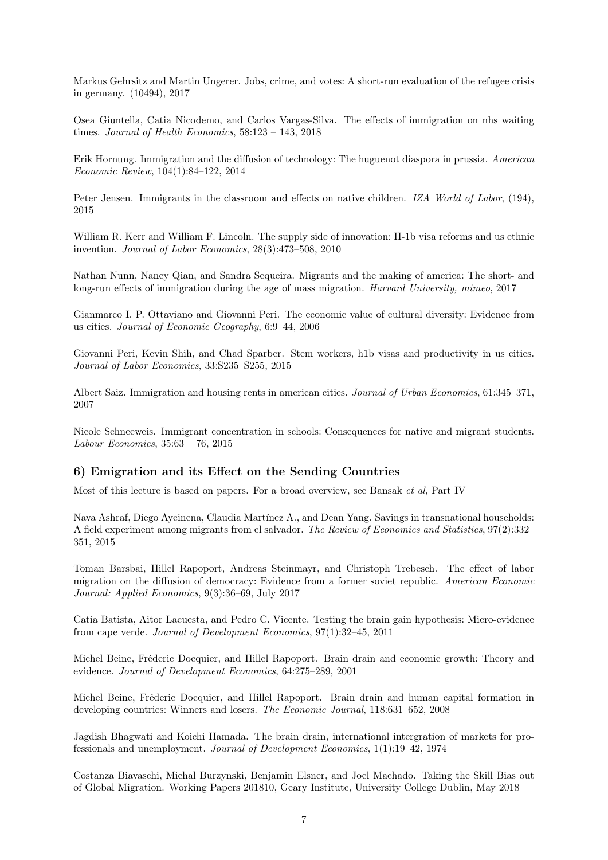Markus Gehrsitz and Martin Ungerer. Jobs, crime, and votes: A short-run evaluation of the refugee crisis in germany. (10494), 2017

Osea Giuntella, Catia Nicodemo, and Carlos Vargas-Silva. The effects of immigration on nhs waiting times. Journal of Health Economics, 58:123 – 143, 2018

Erik Hornung. Immigration and the diffusion of technology: The huguenot diaspora in prussia. American Economic Review, 104(1):84–122, 2014

Peter Jensen. Immigrants in the classroom and effects on native children. IZA World of Labor, (194), 2015

William R. Kerr and William F. Lincoln. The supply side of innovation: H-1b visa reforms and us ethnic invention. Journal of Labor Economics, 28(3):473–508, 2010

Nathan Nunn, Nancy Qian, and Sandra Sequeira. Migrants and the making of america: The short- and long-run effects of immigration during the age of mass migration. Harvard University, mimeo, 2017

Gianmarco I. P. Ottaviano and Giovanni Peri. The economic value of cultural diversity: Evidence from us cities. Journal of Economic Geography, 6:9–44, 2006

Giovanni Peri, Kevin Shih, and Chad Sparber. Stem workers, h1b visas and productivity in us cities. Journal of Labor Economics, 33:S235–S255, 2015

Albert Saiz. Immigration and housing rents in american cities. Journal of Urban Economics, 61:345–371, 2007

Nicole Schneeweis. Immigrant concentration in schools: Consequences for native and migrant students. Labour Economics, 35:63 – 76, 2015

## 6) Emigration and its Effect on the Sending Countries

Most of this lecture is based on papers. For a broad overview, see Bansak et al, Part IV

Nava Ashraf, Diego Aycinena, Claudia Martínez A., and Dean Yang. Savings in transnational households: A field experiment among migrants from el salvador. The Review of Economics and Statistics, 97(2):332– 351, 2015

Toman Barsbai, Hillel Rapoport, Andreas Steinmayr, and Christoph Trebesch. The effect of labor migration on the diffusion of democracy: Evidence from a former soviet republic. American Economic Journal: Applied Economics, 9(3):36–69, July 2017

Catia Batista, Aitor Lacuesta, and Pedro C. Vicente. Testing the brain gain hypothesis: Micro-evidence from cape verde. Journal of Development Economics, 97(1):32–45, 2011

Michel Beine, Fréderic Docquier, and Hillel Rapoport. Brain drain and economic growth: Theory and evidence. Journal of Development Economics, 64:275–289, 2001

Michel Beine, Fréderic Docquier, and Hillel Rapoport. Brain drain and human capital formation in developing countries: Winners and losers. The Economic Journal, 118:631–652, 2008

Jagdish Bhagwati and Koichi Hamada. The brain drain, international intergration of markets for professionals and unemployment. Journal of Development Economics, 1(1):19–42, 1974

Costanza Biavaschi, Michal Burzynski, Benjamin Elsner, and Joel Machado. Taking the Skill Bias out of Global Migration. Working Papers 201810, Geary Institute, University College Dublin, May 2018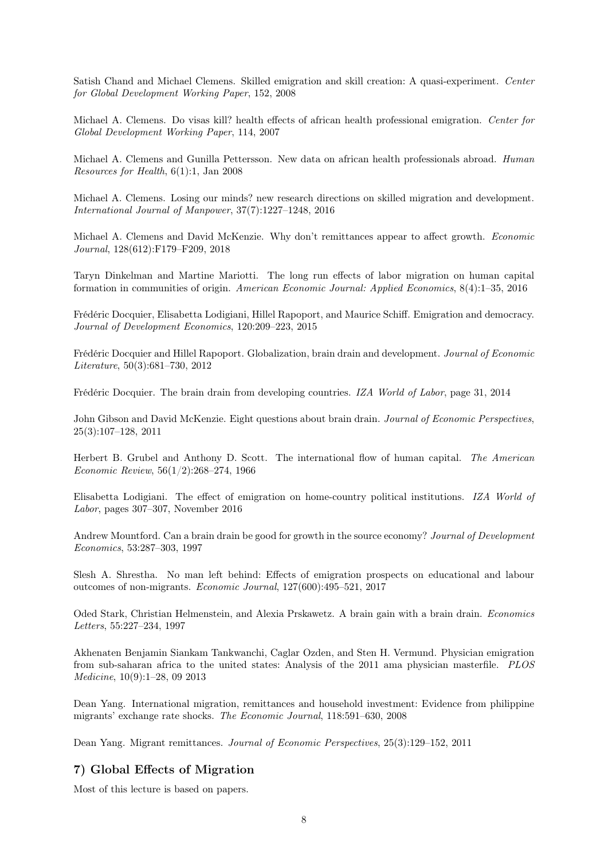Satish Chand and Michael Clemens. Skilled emigration and skill creation: A quasi-experiment. Center for Global Development Working Paper, 152, 2008

Michael A. Clemens. Do visas kill? health effects of african health professional emigration. Center for Global Development Working Paper, 114, 2007

Michael A. Clemens and Gunilla Pettersson. New data on african health professionals abroad. Human Resources for Health, 6(1):1, Jan 2008

Michael A. Clemens. Losing our minds? new research directions on skilled migration and development. International Journal of Manpower, 37(7):1227–1248, 2016

Michael A. Clemens and David McKenzie. Why don't remittances appear to affect growth. Economic Journal, 128(612):F179–F209, 2018

Taryn Dinkelman and Martine Mariotti. The long run effects of labor migration on human capital formation in communities of origin. American Economic Journal: Applied Economics, 8(4):1–35, 2016

Frédéric Docquier, Elisabetta Lodigiani, Hillel Rapoport, and Maurice Schiff. Emigration and democracy. Journal of Development Economics, 120:209–223, 2015

Frédéric Docquier and Hillel Rapoport. Globalization, brain drain and development. Journal of Economic Literature, 50(3):681–730, 2012

Frédéric Docquier. The brain drain from developing countries. IZA World of Labor, page 31, 2014

John Gibson and David McKenzie. Eight questions about brain drain. Journal of Economic Perspectives, 25(3):107–128, 2011

Herbert B. Grubel and Anthony D. Scott. The international flow of human capital. The American Economic Review, 56(1/2):268–274, 1966

Elisabetta Lodigiani. The effect of emigration on home-country political institutions. IZA World of Labor, pages 307–307, November 2016

Andrew Mountford. Can a brain drain be good for growth in the source economy? Journal of Development Economics, 53:287–303, 1997

Slesh A. Shrestha. No man left behind: Effects of emigration prospects on educational and labour outcomes of non-migrants. Economic Journal, 127(600):495–521, 2017

Oded Stark, Christian Helmenstein, and Alexia Prskawetz. A brain gain with a brain drain. Economics Letters, 55:227–234, 1997

Akhenaten Benjamin Siankam Tankwanchi, Caglar Ozden, and Sten H. Vermund. Physician emigration from sub-saharan africa to the united states: Analysis of the 2011 ama physician masterfile. PLOS Medicine, 10(9):1–28, 09 2013

Dean Yang. International migration, remittances and household investment: Evidence from philippine migrants' exchange rate shocks. The Economic Journal, 118:591–630, 2008

Dean Yang. Migrant remittances. Journal of Economic Perspectives, 25(3):129–152, 2011

### 7) Global Effects of Migration

Most of this lecture is based on papers.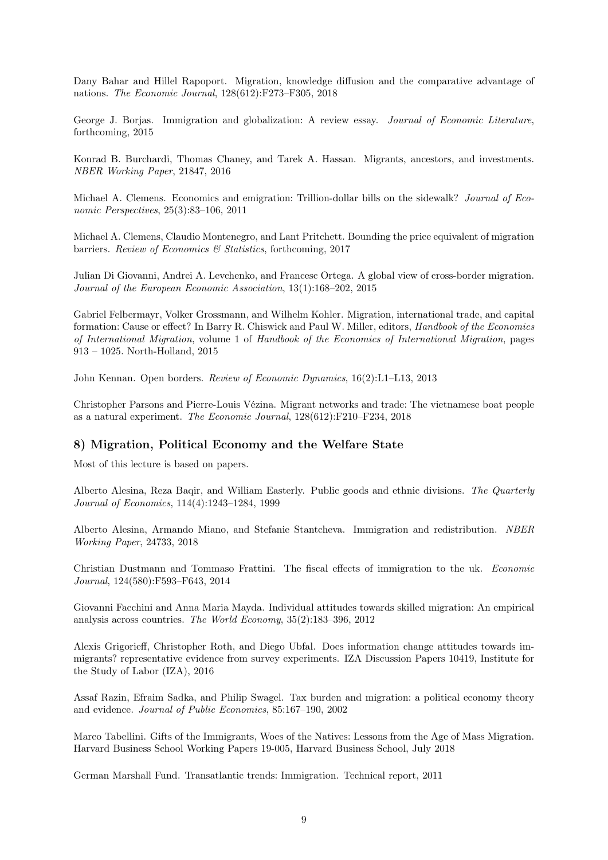Dany Bahar and Hillel Rapoport. Migration, knowledge diffusion and the comparative advantage of nations. The Economic Journal, 128(612):F273–F305, 2018

George J. Borjas. Immigration and globalization: A review essay. *Journal of Economic Literature*, forthcoming, 2015

Konrad B. Burchardi, Thomas Chaney, and Tarek A. Hassan. Migrants, ancestors, and investments. NBER Working Paper, 21847, 2016

Michael A. Clemens. Economics and emigration: Trillion-dollar bills on the sidewalk? Journal of Economic Perspectives, 25(3):83–106, 2011

Michael A. Clemens, Claudio Montenegro, and Lant Pritchett. Bounding the price equivalent of migration barriers. Review of Economics & Statistics, forthcoming, 2017

Julian Di Giovanni, Andrei A. Levchenko, and Francesc Ortega. A global view of cross-border migration. Journal of the European Economic Association, 13(1):168–202, 2015

Gabriel Felbermayr, Volker Grossmann, and Wilhelm Kohler. Migration, international trade, and capital formation: Cause or effect? In Barry R. Chiswick and Paul W. Miller, editors, Handbook of the Economics of International Migration, volume 1 of Handbook of the Economics of International Migration, pages 913 – 1025. North-Holland, 2015

John Kennan. Open borders. Review of Economic Dynamics, 16(2):L1–L13, 2013

Christopher Parsons and Pierre-Louis Vézina. Migrant networks and trade: The vietnamese boat people as a natural experiment. The Economic Journal, 128(612):F210–F234, 2018

### 8) Migration, Political Economy and the Welfare State

Most of this lecture is based on papers.

Alberto Alesina, Reza Baqir, and William Easterly. Public goods and ethnic divisions. The Quarterly Journal of Economics, 114(4):1243–1284, 1999

Alberto Alesina, Armando Miano, and Stefanie Stantcheva. Immigration and redistribution. NBER Working Paper, 24733, 2018

Christian Dustmann and Tommaso Frattini. The fiscal effects of immigration to the uk. Economic Journal, 124(580):F593–F643, 2014

Giovanni Facchini and Anna Maria Mayda. Individual attitudes towards skilled migration: An empirical analysis across countries. The World Economy, 35(2):183–396, 2012

Alexis Grigorieff, Christopher Roth, and Diego Ubfal. Does information change attitudes towards immigrants? representative evidence from survey experiments. IZA Discussion Papers 10419, Institute for the Study of Labor (IZA), 2016

Assaf Razin, Efraim Sadka, and Philip Swagel. Tax burden and migration: a political economy theory and evidence. Journal of Public Economics, 85:167–190, 2002

Marco Tabellini. Gifts of the Immigrants, Woes of the Natives: Lessons from the Age of Mass Migration. Harvard Business School Working Papers 19-005, Harvard Business School, July 2018

German Marshall Fund. Transatlantic trends: Immigration. Technical report, 2011